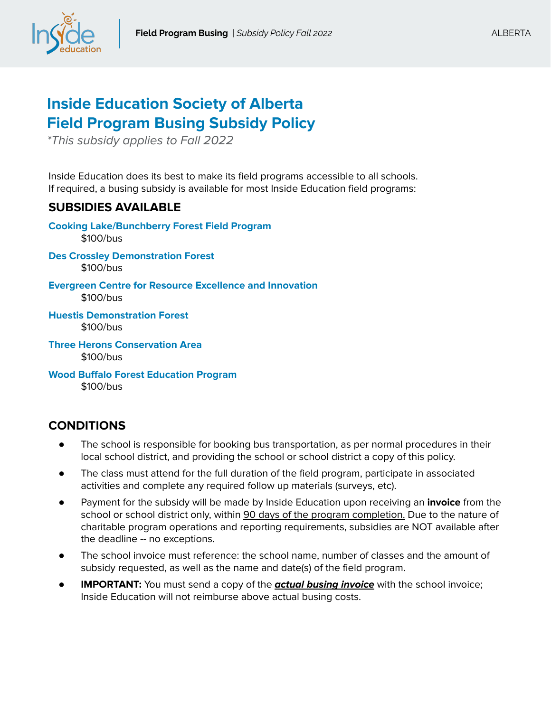

## **Inside Education Society of Alberta Field Program Busing Subsidy Policy**

\*This subsidy applies to Fall 2022

Inside Education does its best to make its field programs accessible to all schools. If required, a busing subsidy is available for most Inside Education field programs:

## **SUBSIDIES AVAILABLE**

**Cooking Lake/Bunchberry Forest Field Program** \$100/bus **Des Crossley Demonstration Forest**  \$100/bus **Evergreen Centre for Resource Excellence and Innovation** \$100/bus **Huestis Demonstration Forest** \$100/bus **Three Herons Conservation Area** \$100/bus

**Wood Buffalo Forest Education Program** \$100/bus

## **CONDITIONS**

- The school is responsible for booking bus transportation, as per normal procedures in their local school district, and providing the school or school district a copy of this policy.
- The class must attend for the full duration of the field program, participate in associated activities and complete any required follow up materials (surveys, etc).
- Payment for the subsidy will be made by Inside Education upon receiving an **invoice** from the school or school district only, within 90 days of the program completion. Due to the nature of charitable program operations and reporting requirements, subsidies are NOT available after the deadline -- no exceptions.
- The school invoice must reference: the school name, number of classes and the amount of subsidy requested, as well as the name and date(s) of the field program.
- **IMPORTANT:** You must send a copy of the **actual busing invoice** with the school invoice; Inside Education will not reimburse above actual busing costs.